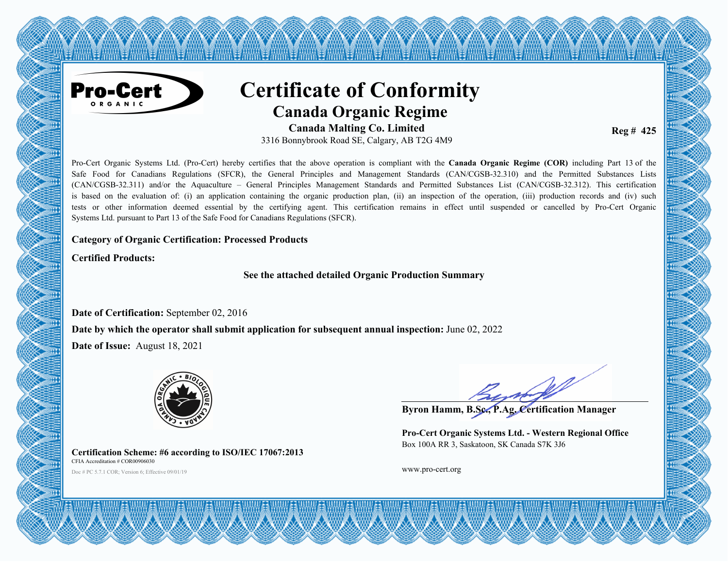

# **Certificate of Conformity Canada Organic Regime**

any any any any any any a

**Canada Malting Co. Limited** 3316 Bonnybrook Road SE, Calgary, AB T2G 4M9

**Reg # 425** 

Pro-Cert Organic Systems Ltd. (Pro-Cert) hereby certifies that the above operation is compliant with the **Canada Organic Regime (COR)** including Part 13 of the Safe Food for Canadians Regulations (SFCR), the General Principles and Management Standards (CAN/CGSB-32.310) and the Permitted Substances Lists (CAN/CGSB-32.311) and/or the Aquaculture – General Principles Management Standards and Permitted Substances List (CAN/CGSB-32.312). This certification is based on the evaluation of: (i) an application containing the organic production plan, (ii) an inspection of the operation, (iii) production records and (iv) such tests or other information deemed essential by the certifying agent. This certification remains in effect until suspended or cancelled by Pro-Cert Organic Systems Ltd. pursuant to Part 13 of the Safe Food for Canadians Regulations (SFCR).

#### **Category of Organic Certification: Processed Products**

**Certified Products:**

**See the attached detailed Organic Production Summary**

**Date of Certification:** September 02, 2016

**Date by which the operator shall submit application for subsequent annual inspection:** June 02, 2022

**Date of Issue:** August 18, 2021



**Certification Scheme: #6 according to ISO/IEC 17067:2013** CFIA Accreditation # COR00906030

Doc # PC 5.7.1 COR; Version 6; Effective 09/01/19 **www.pro-cert.org** 

**Byron Hamm, B.Sc., P.Ag. Certification Manager**

**Pro-Cert Organic Systems Ltd. - Western Regional Office** Box 100A RR 3, Saskatoon, SK Canada S7K 3J6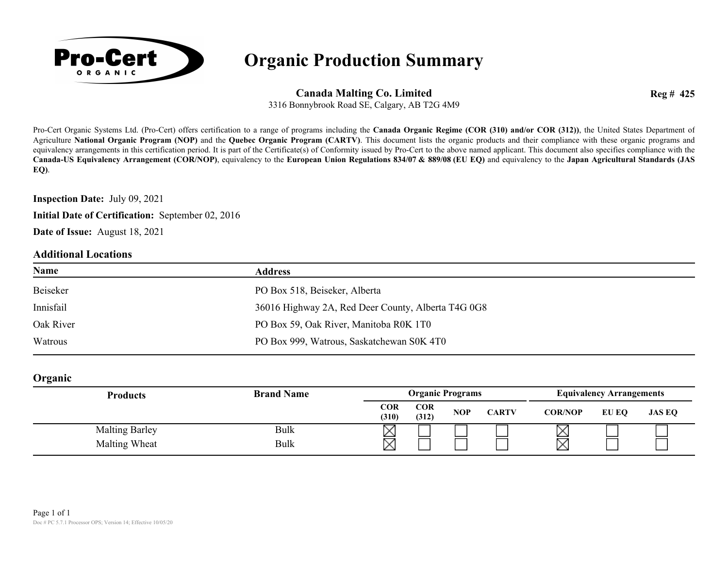

### **Organic Production Summary**

**Canada Malting Co. Limited**

**Reg # 425**

3316 Bonnybrook Road SE, Calgary, AB T2G 4M9

Pro-Cert Organic Systems Ltd. (Pro-Cert) offers certification to a range of programs including the **Canada Organic Regime (COR (310) and/or COR (312))**, the United States Department of Agriculture **National Organic Program (NOP)** and the **Quebec Organic Program (CARTV)**. This document lists the organic products and their compliance with these organic programs and equivalency arrangements in this certification period. It is part of the Certificate(s) of Conformity issued by Pro-Cert to the above named applicant. This document also specifies compliance with the **Canada-US Equivalency Arrangement (COR/NOP)**, equivalency to the **European Union Regulations 834/07 & 889/08 (EU EQ)** and equivalency to the **Japan Agricultural Standards (JAS EQ)**.

**Inspection Date:** July 09, 2021

**Initial Date of Certification:** September 02, 2016

**Date of Issue:** August 18, 2021

#### **Additional Locations**

| Name      | <b>Address</b>                                     |
|-----------|----------------------------------------------------|
| Beiseker  | PO Box 518, Beiseker, Alberta                      |
| Innisfail | 36016 Highway 2A, Red Deer County, Alberta T4G 0G8 |
| Oak River | PO Box 59, Oak River, Manitoba R0K 1T0             |
| Watrous   | PO Box 999, Watrous, Saskatchewan S0K 4T0          |

**Organic**

| <b>Products</b>       | <b>Brand Name</b> |                     | <b>Organic Programs</b> |            |              | <b>Equivalency Arrangements</b> |       |               |
|-----------------------|-------------------|---------------------|-------------------------|------------|--------------|---------------------------------|-------|---------------|
|                       |                   | <b>COR</b><br>(310) | <b>COR</b><br>(312)     | <b>NOP</b> | <b>CARTV</b> | <b>COR/NOP</b>                  | EU EO | <b>JAS EQ</b> |
| <b>Malting Barley</b> | Bulk              |                     |                         |            |              | △                               |       |               |
| Malting Wheat         | Bulk              | ▽                   |                         |            |              | ⊠                               |       |               |